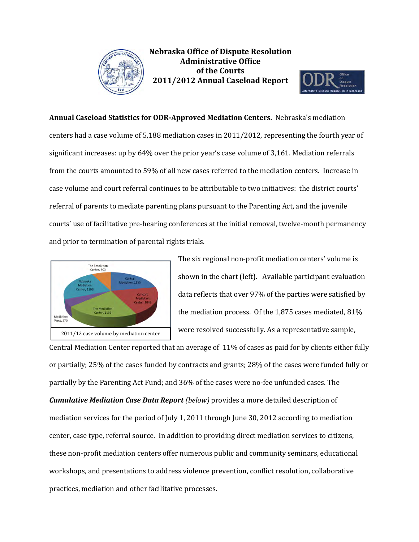



## **Annual Caseload Statistics for ODR-Approved Mediation Centers.** Nebraska's mediation

centers had a case volume of 5,188 mediation cases in 2011/2012, representing the fourth year of significant increases: up by 64% over the prior year's case volume of 3,161. Mediation referrals from the courts amounted to 59% of all new cases referred to the mediation centers. Increase in case volume and court referral continues to be attributable to two initiatives: the district courts' referral of parents to mediate parenting plans pursuant to the Parenting Act, and the juvenile courts' use of facilitative pre-hearing conferences at the initial removal, twelve-month permanency and prior to termination of parental rights trials.



The six regional non-profit mediation centers' volume is shown in the chart (left). Available participant evaluation data reflects that over 97% of the parties were satisfied by the mediation process. Of the 1,875 cases mediated, 81% were resolved successfully. As a representative sample,

Central Mediation Center reported that an average of 11% of cases as paid for by clients either fully or partially; 25% of the cases funded by contracts and grants; 28% of the cases were funded fully or partially by the Parenting Act Fund; and 36% of the cases were no-fee unfunded cases. The *Cumulative Mediation Case Data Report (below)* provides a more detailed description of mediation services for the period of July 1, 2011 through June 30, 2012 according to mediation center, case type, referral source. In addition to providing direct mediation services to citizens, these non-profit mediation centers offer numerous public and community seminars, educational workshops, and presentations to address violence prevention, conflict resolution, collaborative practices, mediation and other facilitative processes.